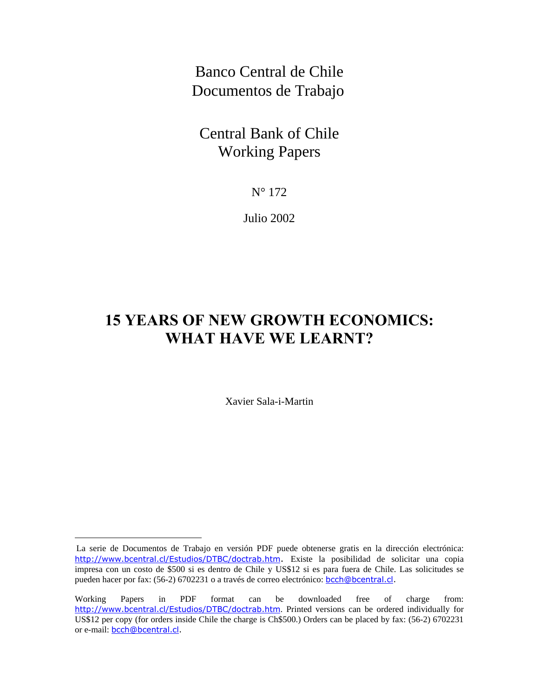Banco Central de Chile Documentos de Trabajo

Central Bank of Chile Working Papers

N° 172

Julio 2002

# **15 YEARS OF NEW GROWTH ECONOMICS: WHAT HAVE WE LEARNT?**

Xavier Sala-i-Martin

<u>.</u>

La serie de Documentos de Trabajo en versión PDF puede obtenerse gratis en la dirección electrónica: http://www.bcentral.cl/Estudios/DTBC/doctrab.htm. Existe la posibilidad de solicitar una copia impresa con un costo de \$500 si es dentro de Chile y US\$12 si es para fuera de Chile. Las solicitudes se pueden hacer por fax: (56-2) 6702231 o a través de correo electrónico: bcch@bcentral.cl.

Working Papers in PDF format can be downloaded free of charge from: http://www.bcentral.cl/Estudios/DTBC/doctrab.htm. Printed versions can be ordered individually for US\$12 per copy (for orders inside Chile the charge is Ch\$500.) Orders can be placed by fax: (56-2) 6702231 or e-mail: **bcch@bcentral.cl**.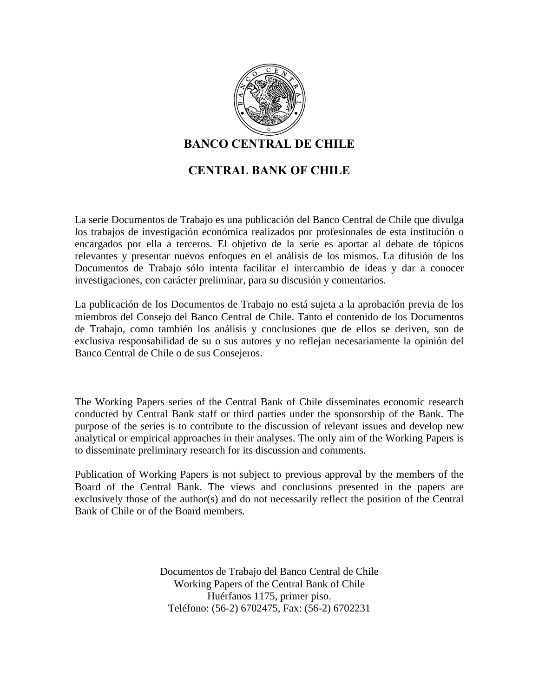

### **CENTRAL BANK OF CHILE**

La serie Documentos de Trabajo es una publicación del Banco Central de Chile que divulga los trabajos de investigación económica realizados por profesionales de esta institución o encargados por ella a terceros. El objetivo de la serie es aportar al debate de tópicos relevantes y presentar nuevos enfoques en el análisis de los mismos. La difusión de los Documentos de Trabajo sólo intenta facilitar el intercambio de ideas y dar a conocer investigaciones, con carácter preliminar, para su discusión y comentarios.

La publicación de los Documentos de Trabajo no está sujeta a la aprobación previa de los miembros del Consejo del Banco Central de Chile. Tanto el contenido de los Documentos de Trabajo, como también los análisis y conclusiones que de ellos se deriven, son de exclusiva responsabilidad de su o sus autores y no reflejan necesariamente la opinión del Banco Central de Chile o de sus Consejeros.

The Working Papers series of the Central Bank of Chile disseminates economic research conducted by Central Bank staff or third parties under the sponsorship of the Bank. The purpose of the series is to contribute to the discussion of relevant issues and develop new analytical or empirical approaches in their analyses. The only aim of the Working Papers is to disseminate preliminary research for its discussion and comments.

Publication of Working Papers is not subject to previous approval by the members of the Board of the Central Bank. The views and conclusions presented in the papers are exclusively those of the author(s) and do not necessarily reflect the position of the Central Bank of Chile or of the Board members.

> Documentos de Trabajo del Banco Central de Chile Working Papers of the Central Bank of Chile Huérfanos 1175, primer piso. Teléfono: (56-2) 6702475, Fax: (56-2) 6702231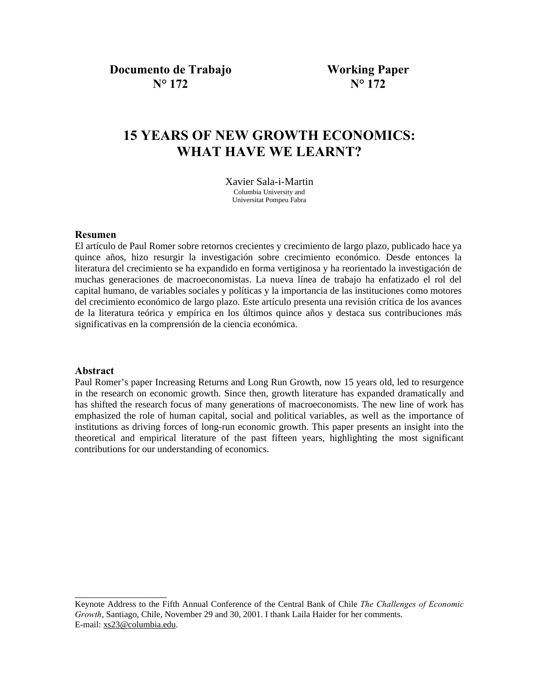**Documento de Trabajo Working Paper N° 172 N° 172**

## **15 YEARS OF NEW GROWTH ECONOMICS: WHAT HAVE WE LEARNT?**

Xavier Sala-i-Martin Columbia University and Universitat Pompeu Fabra

#### **Resumen**

El artículo de Paul Romer sobre retornos crecientes y crecimiento de largo plazo, publicado hace ya quince años, hizo resurgir la investigación sobre crecimiento económico. Desde entonces la literatura del crecimiento se ha expandido en forma vertiginosa y ha reorientado la investigación de muchas generaciones de macroeconomistas. La nueva línea de trabajo ha enfatizado el rol del capital humano, de variables sociales y políticas y la importancia de las instituciones como motores del crecimiento económico de largo plazo. Este artículo presenta una revisión crítica de los avances de la literatura teórica y empírica en los últimos quince años y destaca sus contribuciones más significativas en la comprensión de la ciencia económica.

#### **Abstract**

\_\_\_\_\_\_\_\_\_\_\_\_\_\_\_\_\_\_\_

Paul Romer's paper Increasing Returns and Long Run Growth, now 15 years old, led to resurgence in the research on economic growth. Since then, growth literature has expanded dramatically and has shifted the research focus of many generations of macroeconomists. The new line of work has emphasized the role of human capital, social and political variables, as well as the importance of institutions as driving forces of long-run economic growth. This paper presents an insight into the theoretical and empirical literature of the past fifteen years, highlighting the most significant contributions for our understanding of economics.

Keynote Address to the Fifth Annual Conference of the Central Bank of Chile *The Challenges of Economic Growth*, Santiago, Chile, November 29 and 30, 2001. I thank Laila Haider for her comments. E-mail: xs23@columbia.edu.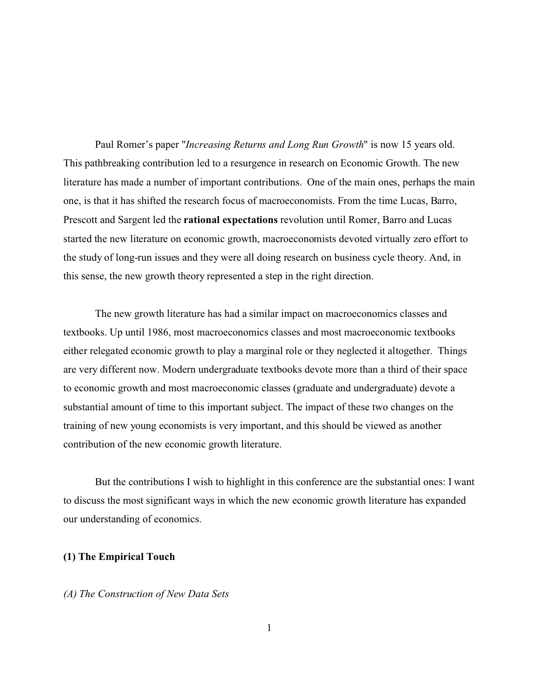Paul Romer's paper "*Increasing Returns and Long Run Growth*" is now 15 years old. This pathbreaking contribution led to a resurgence in research on Economic Growth. The new literature has made a number of important contributions. One of the main ones, perhaps the main one, is that it has shifted the research focus of macroeconomists. From the time Lucas, Barro, Prescott and Sargent led the **rational expectations** revolution until Romer, Barro and Lucas started the new literature on economic growth, macroeconomists devoted virtually zero effort to the study of long-run issues and they were all doing research on business cycle theory. And, in this sense, the new growth theory represented a step in the right direction.

The new growth literature has had a similar impact on macroeconomics classes and textbooks. Up until 1986, most macroeconomics classes and most macroeconomic textbooks either relegated economic growth to play a marginal role or they neglected it altogether. Things are very different now. Modern undergraduate textbooks devote more than a third of their space to economic growth and most macroeconomic classes (graduate and undergraduate) devote a substantial amount of time to this important subject. The impact of these two changes on the training of new young economists is very important, and this should be viewed as another contribution of the new economic growth literature.

But the contributions I wish to highlight in this conference are the substantial ones: I want to discuss the most significant ways in which the new economic growth literature has expanded our understanding of economics.

#### **(1) The Empirical Touch**

#### *(A) The Construction of New Data Sets*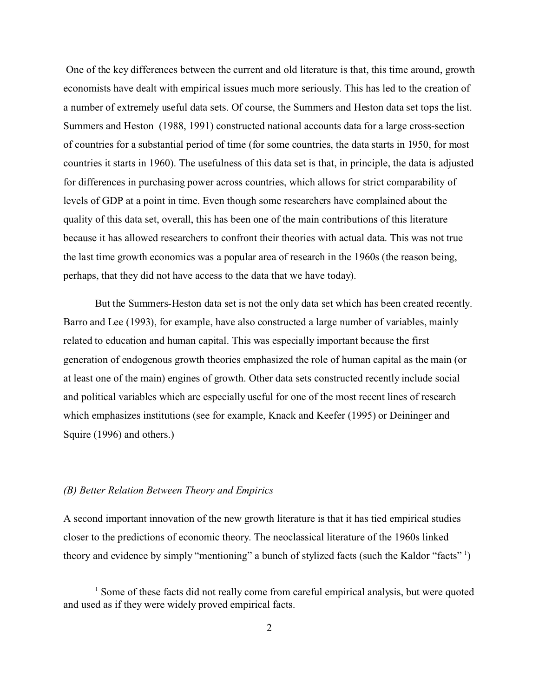One of the key differences between the current and old literature is that, this time around, growth economists have dealt with empirical issues much more seriously. This has led to the creation of a number of extremely useful data sets. Of course, the Summers and Heston data set tops the list. Summers and Heston (1988, 1991) constructed national accounts data for a large cross-section of countries for a substantial period of time (for some countries, the data starts in 1950, for most countries it starts in 1960). The usefulness of this data set is that, in principle, the data is adjusted for differences in purchasing power across countries, which allows for strict comparability of levels of GDP at a point in time. Even though some researchers have complained about the quality of this data set, overall, this has been one of the main contributions of this literature because it has allowed researchers to confront their theories with actual data. This was not true the last time growth economics was a popular area of research in the 1960s (the reason being, perhaps, that they did not have access to the data that we have today).

But the Summers-Heston data set is not the only data set which has been created recently. Barro and Lee (1993), for example, have also constructed a large number of variables, mainly related to education and human capital. This was especially important because the first generation of endogenous growth theories emphasized the role of human capital as the main (or at least one of the main) engines of growth. Other data sets constructed recently include social and political variables which are especially useful for one of the most recent lines of research which emphasizes institutions (see for example, Knack and Keefer (1995) or Deininger and Squire (1996) and others.)

### *(B) Better Relation Between Theory and Empirics*

A second important innovation of the new growth literature is that it has tied empirical studies closer to the predictions of economic theory. The neoclassical literature of the 1960s linked theory and evidence by simply "mentioning" a bunch of stylized facts (such the Kaldor "facts" 1)

<sup>&</sup>lt;sup>1</sup> Some of these facts did not really come from careful empirical analysis, but were quoted and used as if they were widely proved empirical facts.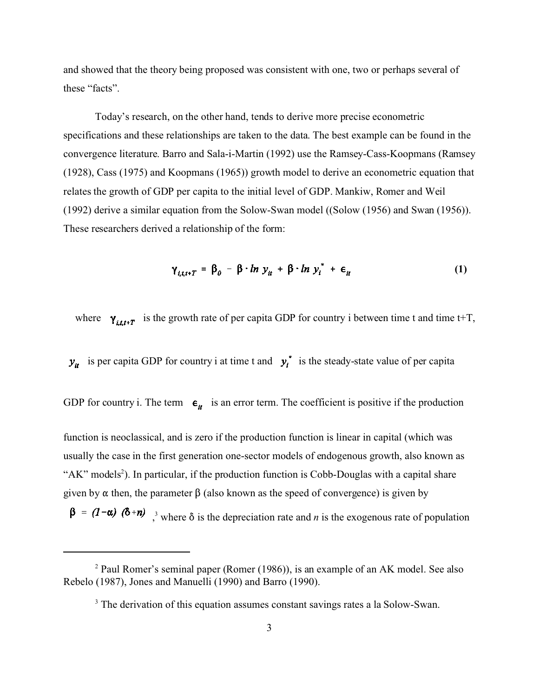and showed that the theory being proposed was consistent with one, two or perhaps several of these "facts".

Today's research, on the other hand, tends to derive more precise econometric specifications and these relationships are taken to the data. The best example can be found in the convergence literature. Barro and Sala-i-Martin (1992) use the Ramsey-Cass-Koopmans (Ramsey (1928), Cass (1975) and Koopmans (1965)) growth model to derive an econometric equation that relates the growth of GDP per capita to the initial level of GDP. Mankiw, Romer and Weil (1992) derive a similar equation from the Solow-Swan model ((Solow (1956) and Swan (1956)). These researchers derived a relationship of the form:

$$
\gamma_{i,t,t+T} = \beta_0 - \beta \cdot \ln y_{it} + \beta \cdot \ln y_i^* + \epsilon_{it} \tag{1}
$$

where  $\gamma_{i\mu}$  is the growth rate of per capita GDP for country i between time t and time t+T,

 $y_{it}$  is per capita GDP for country i at time t and  $y_i^*$  is the steady-state value of per capita

GDP for country i. The term  $\epsilon_{it}$  is an error term. The coefficient is positive if the production

function is neoclassical, and is zero if the production function is linear in capital (which was usually the case in the first generation one-sector models of endogenous growth, also known as "AK" models<sup>2</sup>). In particular, if the production function is Cobb-Douglas with a capital share given by  $\alpha$  then, the parameter  $\beta$  (also known as the speed of convergence) is given by

 $3<sup>3</sup>$  where  $\delta$  is the depreciation rate and *n* is the exogenous rate of population

<sup>&</sup>lt;sup>2</sup> Paul Romer's seminal paper (Romer (1986)), is an example of an AK model. See also Rebelo (1987), Jones and Manuelli (1990) and Barro (1990).

<sup>&</sup>lt;sup>3</sup> The derivation of this equation assumes constant savings rates a la Solow-Swan.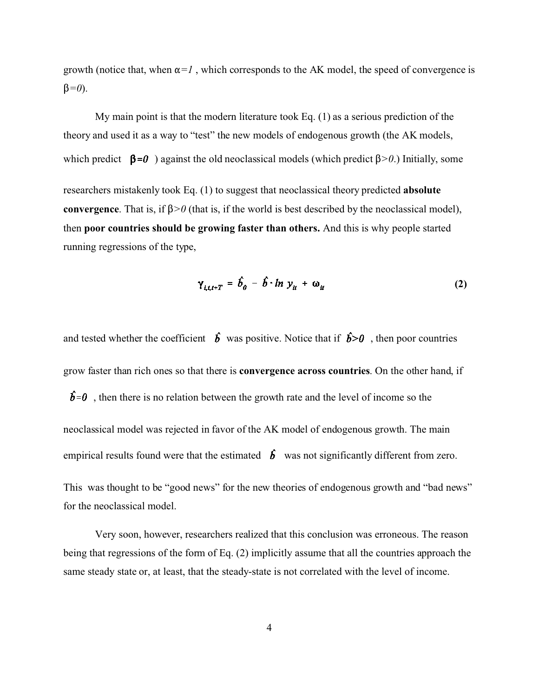growth (notice that, when  $\alpha = 1$ , which corresponds to the AK model, the speed of convergence is *\$=0*).

My main point is that the modern literature took Eq. (1) as a serious prediction of the theory and used it as a way to "test" the new models of endogenous growth (the AK models, which predict  $\beta = 0$  ) against the old neoclassical models (which predict  $\beta > 0$ .) Initially, some researchers mistakenly took Eq. (1) to suggest that neoclassical theory predicted **absolute convergence**. That is, if  $\beta$  > 0 (that is, if the world is best described by the neoclassical model), then **poor countries should be growing faster than others.** And this is why people started running regressions of the type,

$$
\gamma_{i,t,t+T} = \hat{b}_0 - \hat{b} \cdot \ln y_{it} + \omega_{it} \tag{2}
$$

and tested whether the coefficient  $\hat{b}$  was positive. Notice that if  $\hat{b} > 0$ , then poor countries grow faster than rich ones so that there is **convergence across countries**. On the other hand, if  $\hat{b}=0$ , then there is no relation between the growth rate and the level of income so the neoclassical model was rejected in favor of the AK model of endogenous growth. The main empirical results found were that the estimated  $\hat{b}$  was not significantly different from zero.

This was thought to be "good news" for the new theories of endogenous growth and "bad news" for the neoclassical model.

Very soon, however, researchers realized that this conclusion was erroneous. The reason being that regressions of the form of Eq. (2) implicitly assume that all the countries approach the same steady state or, at least, that the steady-state is not correlated with the level of income.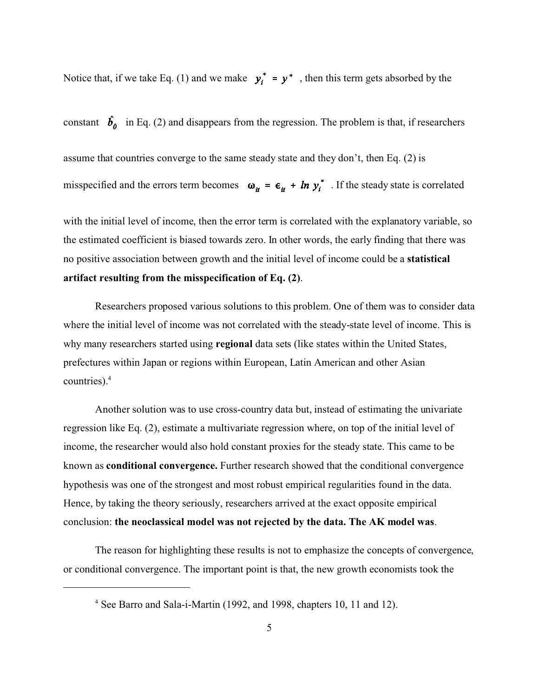Notice that, if we take Eq. (1) and we make  $y_i^* = y^*$ , then this term gets absorbed by the

constant  $\hat{b}_0$  in Eq. (2) and disappears from the regression. The problem is that, if researchers assume that countries converge to the same steady state and they don't, then Eq. (2) is misspecified and the errors term becomes  $\omega_{it} = \epsilon_{it} + ln y_i^*$ . If the steady state is correlated

with the initial level of income, then the error term is correlated with the explanatory variable, so the estimated coefficient is biased towards zero. In other words, the early finding that there was no positive association between growth and the initial level of income could be a **statistical artifact resulting from the misspecification of Eq. (2)**.

Researchers proposed various solutions to this problem. One of them was to consider data where the initial level of income was not correlated with the steady-state level of income. This is why many researchers started using **regional** data sets (like states within the United States, prefectures within Japan or regions within European, Latin American and other Asian countries).<sup>4</sup>

Another solution was to use cross-country data but, instead of estimating the univariate regression like Eq. (2), estimate a multivariate regression where, on top of the initial level of income, the researcher would also hold constant proxies for the steady state. This came to be known as **conditional convergence.** Further research showed that the conditional convergence hypothesis was one of the strongest and most robust empirical regularities found in the data. Hence, by taking the theory seriously, researchers arrived at the exact opposite empirical conclusion: **the neoclassical model was not rejected by the data. The AK model was**.

The reason for highlighting these results is not to emphasize the concepts of convergence, or conditional convergence. The important point is that, the new growth economists took the

<sup>&</sup>lt;sup>4</sup> See Barro and Sala-i-Martin (1992, and 1998, chapters 10, 11 and 12).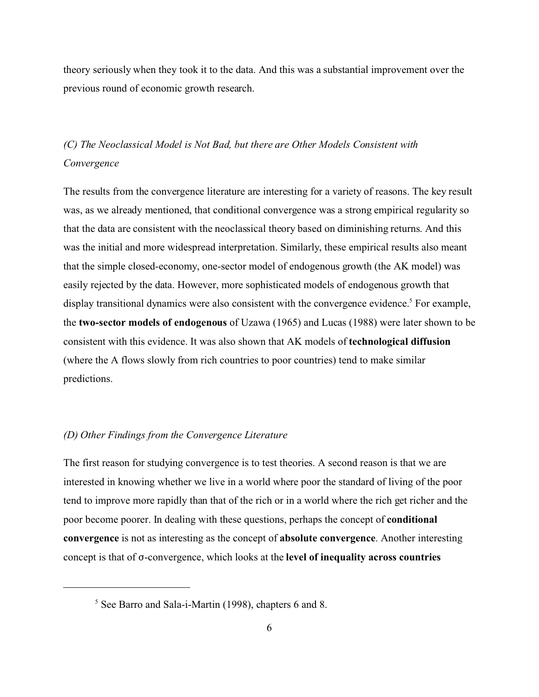theory seriously when they took it to the data. And this was a substantial improvement over the previous round of economic growth research.

## *(C) The Neoclassical Model is Not Bad, but there are Other Models Consistent with Convergence*

The results from the convergence literature are interesting for a variety of reasons. The key result was, as we already mentioned, that conditional convergence was a strong empirical regularity so that the data are consistent with the neoclassical theory based on diminishing returns. And this was the initial and more widespread interpretation. Similarly, these empirical results also meant that the simple closed-economy, one-sector model of endogenous growth (the AK model) was easily rejected by the data. However, more sophisticated models of endogenous growth that display transitional dynamics were also consistent with the convergence evidence.<sup>5</sup> For example, the **two-sector models of endogenous** of Uzawa (1965) and Lucas (1988) were later shown to be consistent with this evidence. It was also shown that AK models of **technological diffusion** (where the A flows slowly from rich countries to poor countries) tend to make similar predictions.

### *(D) Other Findings from the Convergence Literature*

The first reason for studying convergence is to test theories. A second reason is that we are interested in knowing whether we live in a world where poor the standard of living of the poor tend to improve more rapidly than that of the rich or in a world where the rich get richer and the poor become poorer. In dealing with these questions, perhaps the concept of **conditional convergence** is not as interesting as the concept of **absolute convergence**. Another interesting concept is that of  $\sigma$ -convergence, which looks at the **level of inequality across countries** 

<sup>&</sup>lt;sup>5</sup> See Barro and Sala-i-Martin (1998), chapters 6 and 8.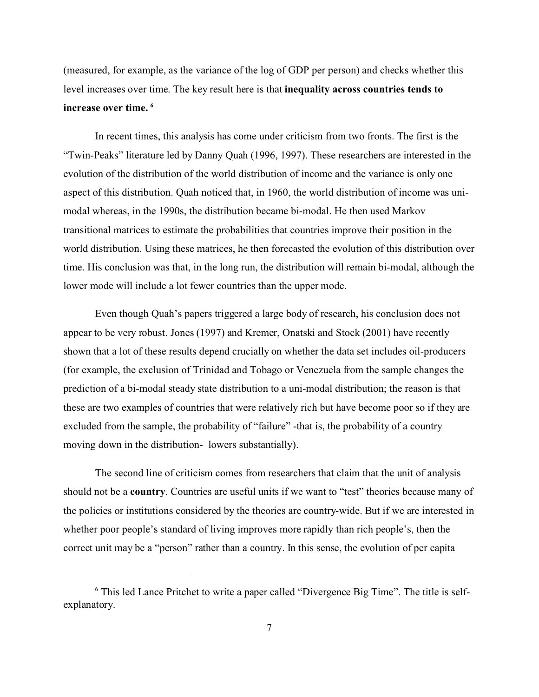(measured, for example, as the variance of the log of GDP per person) and checks whether this level increases over time. The key result here is that **inequality across countries tends to increase over time. <sup>6</sup>**

In recent times, this analysis has come under criticism from two fronts. The first is the "Twin-Peaks" literature led by Danny Quah (1996, 1997). These researchers are interested in the evolution of the distribution of the world distribution of income and the variance is only one aspect of this distribution. Quah noticed that, in 1960, the world distribution of income was unimodal whereas, in the 1990s, the distribution became bi-modal. He then used Markov transitional matrices to estimate the probabilities that countries improve their position in the world distribution. Using these matrices, he then forecasted the evolution of this distribution over time. His conclusion was that, in the long run, the distribution will remain bi-modal, although the lower mode will include a lot fewer countries than the upper mode.

Even though Quah's papers triggered a large body of research, his conclusion does not appear to be very robust. Jones (1997) and Kremer, Onatski and Stock (2001) have recently shown that a lot of these results depend crucially on whether the data set includes oil-producers (for example, the exclusion of Trinidad and Tobago or Venezuela from the sample changes the prediction of a bi-modal steady state distribution to a uni-modal distribution; the reason is that these are two examples of countries that were relatively rich but have become poor so if they are excluded from the sample, the probability of "failure" -that is, the probability of a country moving down in the distribution- lowers substantially).

The second line of criticism comes from researchers that claim that the unit of analysis should not be a **country**. Countries are useful units if we want to "test" theories because many of the policies or institutions considered by the theories are country-wide. But if we are interested in whether poor people's standard of living improves more rapidly than rich people's, then the correct unit may be a "person" rather than a country. In this sense, the evolution of per capita

<sup>&</sup>lt;sup>6</sup> This led Lance Pritchet to write a paper called "Divergence Big Time". The title is selfexplanatory.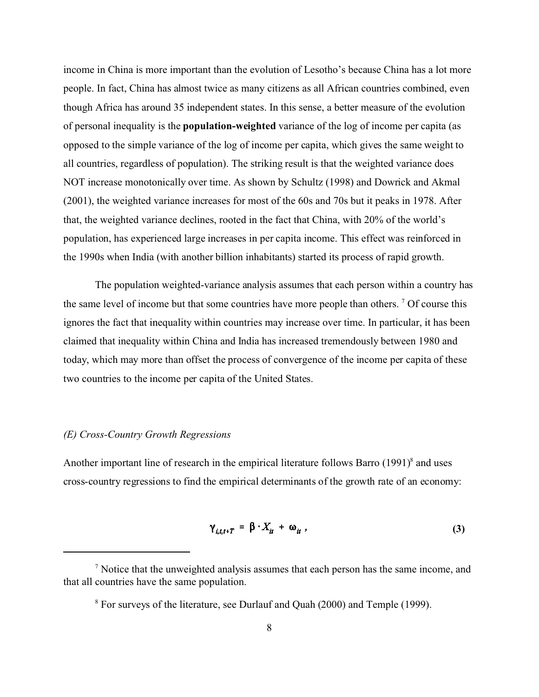income in China is more important than the evolution of Lesotho's because China has a lot more people. In fact, China has almost twice as many citizens as all African countries combined, even though Africa has around 35 independent states. In this sense, a better measure of the evolution of personal inequality is the **population-weighted** variance of the log of income per capita (as opposed to the simple variance of the log of income per capita, which gives the same weight to all countries, regardless of population). The striking result is that the weighted variance does NOT increase monotonically over time. As shown by Schultz (1998) and Dowrick and Akmal (2001), the weighted variance increases for most of the 60s and 70s but it peaks in 1978. After that, the weighted variance declines, rooted in the fact that China, with 20% of the world's population, has experienced large increases in per capita income. This effect was reinforced in the 1990s when India (with another billion inhabitants) started its process of rapid growth.

The population weighted-variance analysis assumes that each person within a country has the same level of income but that some countries have more people than others.<sup>7</sup> Of course this ignores the fact that inequality within countries may increase over time. In particular, it has been claimed that inequality within China and India has increased tremendously between 1980 and today, which may more than offset the process of convergence of the income per capita of these two countries to the income per capita of the United States.

#### *(E) Cross-Country Growth Regressions*

Another important line of research in the empirical literature follows Barro (1991)<sup>8</sup> and uses cross-country regressions to find the empirical determinants of the growth rate of an economy:

$$
\gamma_{i,t,t+T} = \beta \cdot X_{it} + \omega_{it} \tag{3}
$$

 $<sup>7</sup>$  Notice that the unweighted analysis assumes that each person has the same income, and</sup> that all countries have the same population.

<sup>&</sup>lt;sup>8</sup> For surveys of the literature, see Durlauf and Quah (2000) and Temple (1999).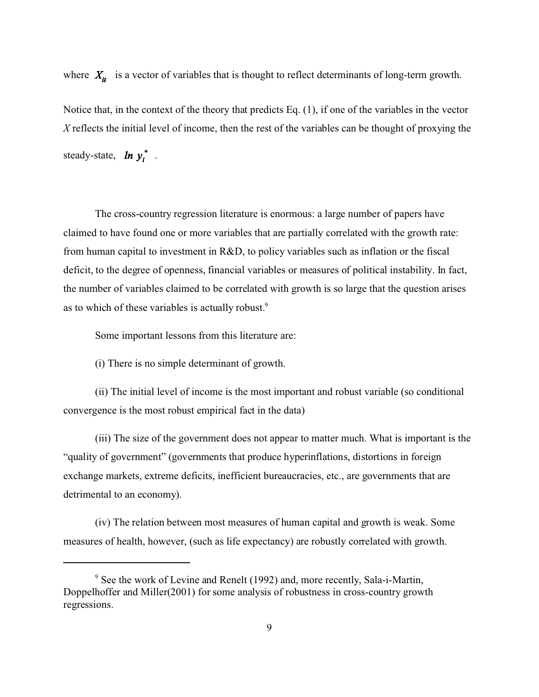where  $X_{tt}$  is a vector of variables that is thought to reflect determinants of long-term growth.

Notice that, in the context of the theory that predicts Eq. (1), if one of the variables in the vector *X* reflects the initial level of income, then the rest of the variables can be thought of proxying the steady-state,  $\ln y_i^*$ .

The cross-country regression literature is enormous: a large number of papers have claimed to have found one or more variables that are partially correlated with the growth rate: from human capital to investment in R&D, to policy variables such as inflation or the fiscal deficit, to the degree of openness, financial variables or measures of political instability. In fact, the number of variables claimed to be correlated with growth is so large that the question arises as to which of these variables is actually robust.<sup>9</sup>

Some important lessons from this literature are:

(i) There is no simple determinant of growth.

(ii) The initial level of income is the most important and robust variable (so conditional convergence is the most robust empirical fact in the data)

(iii) The size of the government does not appear to matter much. What is important is the "quality of government" (governments that produce hyperinflations, distortions in foreign exchange markets, extreme deficits, inefficient bureaucracies, etc., are governments that are detrimental to an economy).

(iv) The relation between most measures of human capital and growth is weak. Some measures of health, however, (such as life expectancy) are robustly correlated with growth.

<sup>&</sup>lt;sup>9</sup> See the work of Levine and Renelt (1992) and, more recently, Sala-i-Martin, Doppelhoffer and Miller(2001) for some analysis of robustness in cross-country growth regressions.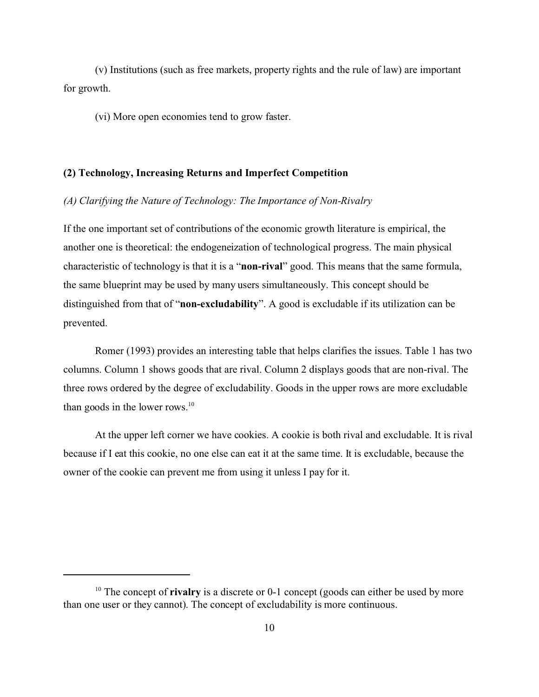(v) Institutions (such as free markets, property rights and the rule of law) are important for growth.

(vi) More open economies tend to grow faster.

#### **(2) Technology, Increasing Returns and Imperfect Competition**

#### *(A) Clarifying the Nature of Technology: The Importance of Non-Rivalry*

If the one important set of contributions of the economic growth literature is empirical, the another one is theoretical: the endogeneization of technological progress. The main physical characteristic of technology is that it is a "**non-rival**" good. This means that the same formula, the same blueprint may be used by many users simultaneously. This concept should be distinguished from that of "**non-excludability**". A good is excludable if its utilization can be prevented.

Romer (1993) provides an interesting table that helps clarifies the issues. Table 1 has two columns. Column 1 shows goods that are rival. Column 2 displays goods that are non-rival. The three rows ordered by the degree of excludability. Goods in the upper rows are more excludable than goods in the lower rows.<sup>10</sup>

At the upper left corner we have cookies. A cookie is both rival and excludable. It is rival because if I eat this cookie, no one else can eat it at the same time. It is excludable, because the owner of the cookie can prevent me from using it unless I pay for it.

<sup>&</sup>lt;sup>10</sup> The concept of **rivalry** is a discrete or 0-1 concept (goods can either be used by more than one user or they cannot). The concept of excludability is more continuous.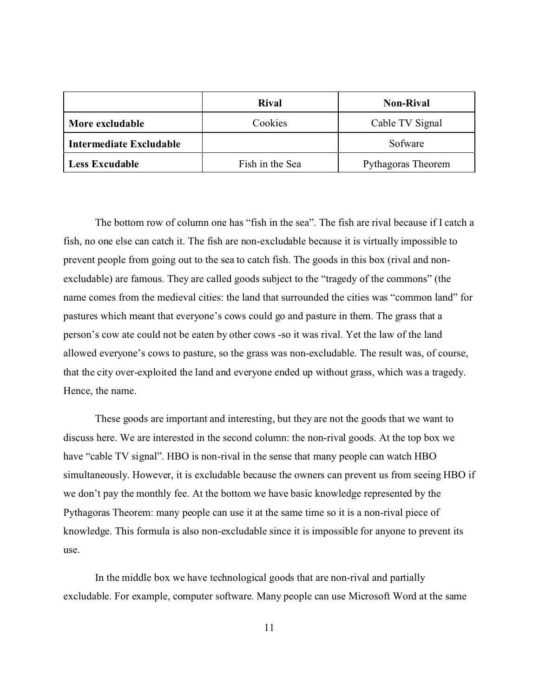|                         | <b>Rival</b>    | <b>Non-Rival</b>   |
|-------------------------|-----------------|--------------------|
| More excludable         | Cookies         | Cable TV Signal    |
| Intermediate Excludable |                 | Sofware            |
| <b>Less Excudable</b>   | Fish in the Sea | Pythagoras Theorem |

The bottom row of column one has "fish in the sea". The fish are rival because if I catch a fish, no one else can catch it. The fish are non-excludable because it is virtually impossible to prevent people from going out to the sea to catch fish. The goods in this box (rival and nonexcludable) are famous. They are called goods subject to the "tragedy of the commons" (the name comes from the medieval cities: the land that surrounded the cities was "common land" for pastures which meant that everyone's cows could go and pasture in them. The grass that a person's cow ate could not be eaten by other cows -so it was rival. Yet the law of the land allowed everyone's cows to pasture, so the grass was non-excludable. The result was, of course, that the city over-exploited the land and everyone ended up without grass, which was a tragedy. Hence, the name.

These goods are important and interesting, but they are not the goods that we want to discuss here. We are interested in the second column: the non-rival goods. At the top box we have "cable TV signal". HBO is non-rival in the sense that many people can watch HBO simultaneously. However, it is excludable because the owners can prevent us from seeing HBO if we don't pay the monthly fee. At the bottom we have basic knowledge represented by the Pythagoras Theorem: many people can use it at the same time so it is a non-rival piece of knowledge. This formula is also non-excludable since it is impossible for anyone to prevent its use.

In the middle box we have technological goods that are non-rival and partially excludable. For example, computer software. Many people can use Microsoft Word at the same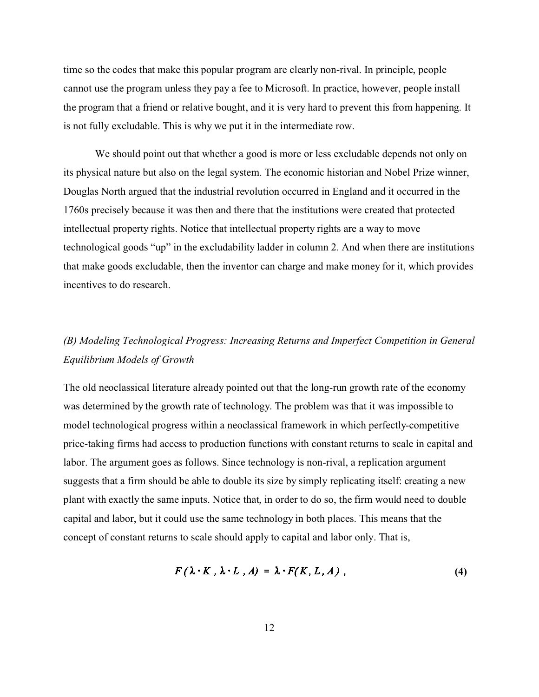time so the codes that make this popular program are clearly non-rival. In principle, people cannot use the program unless they pay a fee to Microsoft. In practice, however, people install the program that a friend or relative bought, and it is very hard to prevent this from happening. It is not fully excludable. This is why we put it in the intermediate row.

We should point out that whether a good is more or less excludable depends not only on its physical nature but also on the legal system. The economic historian and Nobel Prize winner, Douglas North argued that the industrial revolution occurred in England and it occurred in the 1760s precisely because it was then and there that the institutions were created that protected intellectual property rights. Notice that intellectual property rights are a way to move technological goods "up" in the excludability ladder in column 2. And when there are institutions that make goods excludable, then the inventor can charge and make money for it, which provides incentives to do research.

### *(B) Modeling Technological Progress: Increasing Returns and Imperfect Competition in General Equilibrium Models of Growth*

The old neoclassical literature already pointed out that the long-run growth rate of the economy was determined by the growth rate of technology. The problem was that it was impossible to model technological progress within a neoclassical framework in which perfectly-competitive price-taking firms had access to production functions with constant returns to scale in capital and labor. The argument goes as follows. Since technology is non-rival, a replication argument suggests that a firm should be able to double its size by simply replicating itself: creating a new plant with exactly the same inputs. Notice that, in order to do so, the firm would need to double capital and labor, but it could use the same technology in both places. This means that the concept of constant returns to scale should apply to capital and labor only. That is,

$$
F(\lambda \cdot K, \lambda \cdot L, A) = \lambda \cdot F(K, L, A) , \qquad (4)
$$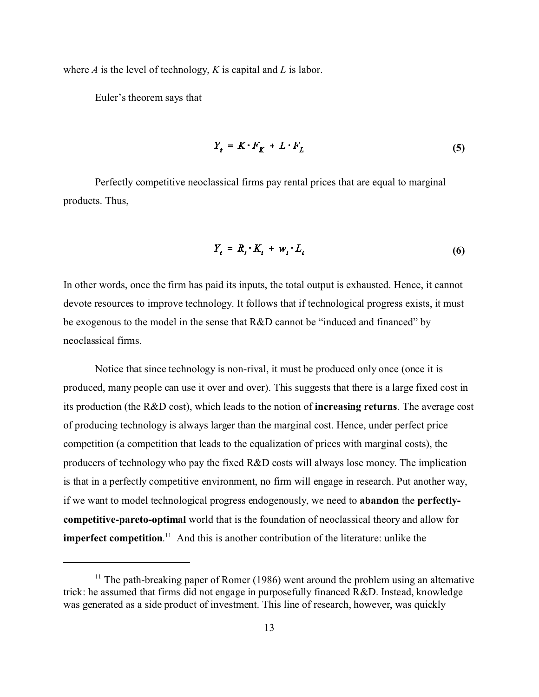where *A* is the level of technology, *K* is capital and *L* is labor.

Euler's theorem says that

$$
Y_t = K \cdot F_K + L \cdot F_L \tag{5}
$$

Perfectly competitive neoclassical firms pay rental prices that are equal to marginal products. Thus,

$$
Y_t = R_t \cdot K_t + w_t \cdot L_t \tag{6}
$$

In other words, once the firm has paid its inputs, the total output is exhausted. Hence, it cannot devote resources to improve technology. It follows that if technological progress exists, it must be exogenous to the model in the sense that R&D cannot be "induced and financed" by neoclassical firms.

Notice that since technology is non-rival, it must be produced only once (once it is produced, many people can use it over and over). This suggests that there is a large fixed cost in its production (the R&D cost), which leads to the notion of **increasing returns**. The average cost of producing technology is always larger than the marginal cost. Hence, under perfect price competition (a competition that leads to the equalization of prices with marginal costs), the producers of technology who pay the fixed R&D costs will always lose money. The implication is that in a perfectly competitive environment, no firm will engage in research. Put another way, if we want to model technological progress endogenously, we need to **abandon** the **perfectlycompetitive-pareto-optimal** world that is the foundation of neoclassical theory and allow for **imperfect competition.**<sup>11</sup> And this is another contribution of the literature: unlike the

<sup>&</sup>lt;sup>11</sup> The path-breaking paper of Romer (1986) went around the problem using an alternative trick: he assumed that firms did not engage in purposefully financed R&D. Instead, knowledge was generated as a side product of investment. This line of research, however, was quickly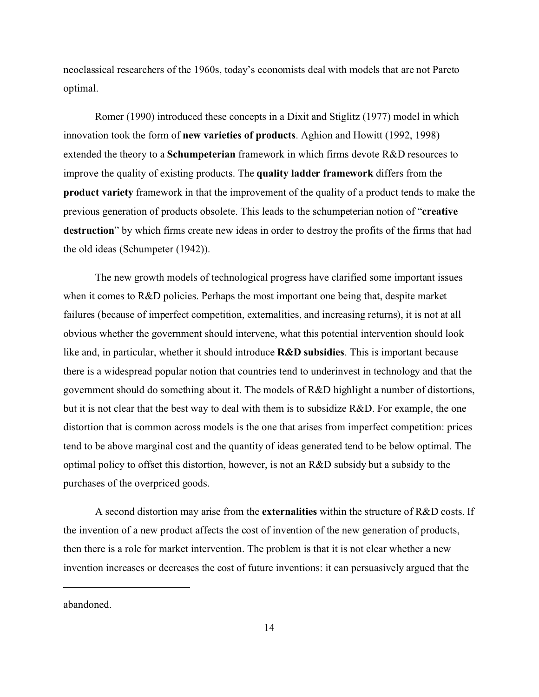neoclassical researchers of the 1960s, today's economists deal with models that are not Pareto optimal.

Romer (1990) introduced these concepts in a Dixit and Stiglitz (1977) model in which innovation took the form of **new varieties of products**. Aghion and Howitt (1992, 1998) extended the theory to a **Schumpeterian** framework in which firms devote R&D resources to improve the quality of existing products. The **quality ladder framework** differs from the **product variety** framework in that the improvement of the quality of a product tends to make the previous generation of products obsolete. This leads to the schumpeterian notion of "**creative destruction**" by which firms create new ideas in order to destroy the profits of the firms that had the old ideas (Schumpeter (1942)).

The new growth models of technological progress have clarified some important issues when it comes to R&D policies. Perhaps the most important one being that, despite market failures (because of imperfect competition, externalities, and increasing returns), it is not at all obvious whether the government should intervene, what this potential intervention should look like and, in particular, whether it should introduce **R&D subsidies**. This is important because there is a widespread popular notion that countries tend to underinvest in technology and that the government should do something about it. The models of R&D highlight a number of distortions, but it is not clear that the best way to deal with them is to subsidize R&D. For example, the one distortion that is common across models is the one that arises from imperfect competition: prices tend to be above marginal cost and the quantity of ideas generated tend to be below optimal. The optimal policy to offset this distortion, however, is not an R&D subsidy but a subsidy to the purchases of the overpriced goods.

A second distortion may arise from the **externalities** within the structure of R&D costs. If the invention of a new product affects the cost of invention of the new generation of products, then there is a role for market intervention. The problem is that it is not clear whether a new invention increases or decreases the cost of future inventions: it can persuasively argued that the

abandoned.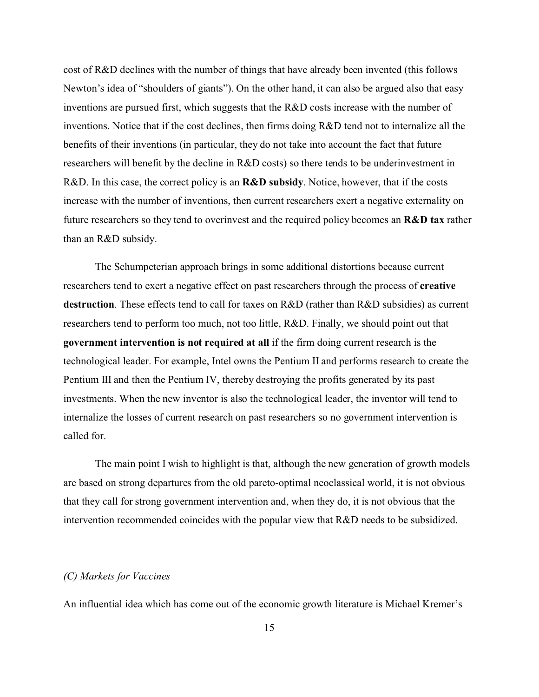cost of R&D declines with the number of things that have already been invented (this follows Newton's idea of "shoulders of giants"). On the other hand, it can also be argued also that easy inventions are pursued first, which suggests that the R&D costs increase with the number of inventions. Notice that if the cost declines, then firms doing R&D tend not to internalize all the benefits of their inventions (in particular, they do not take into account the fact that future researchers will benefit by the decline in R&D costs) so there tends to be underinvestment in R&D. In this case, the correct policy is an **R&D subsidy**. Notice, however, that if the costs increase with the number of inventions, then current researchers exert a negative externality on future researchers so they tend to overinvest and the required policy becomes an **R&D tax** rather than an R&D subsidy.

The Schumpeterian approach brings in some additional distortions because current researchers tend to exert a negative effect on past researchers through the process of **creative destruction**. These effects tend to call for taxes on R&D (rather than R&D subsidies) as current researchers tend to perform too much, not too little, R&D. Finally, we should point out that **government intervention is not required at all** if the firm doing current research is the technological leader. For example, Intel owns the Pentium II and performs research to create the Pentium III and then the Pentium IV, thereby destroying the profits generated by its past investments. When the new inventor is also the technological leader, the inventor will tend to internalize the losses of current research on past researchers so no government intervention is called for.

The main point I wish to highlight is that, although the new generation of growth models are based on strong departures from the old pareto-optimal neoclassical world, it is not obvious that they call for strong government intervention and, when they do, it is not obvious that the intervention recommended coincides with the popular view that R&D needs to be subsidized.

#### *(C) Markets for Vaccines*

An influential idea which has come out of the economic growth literature is Michael Kremer's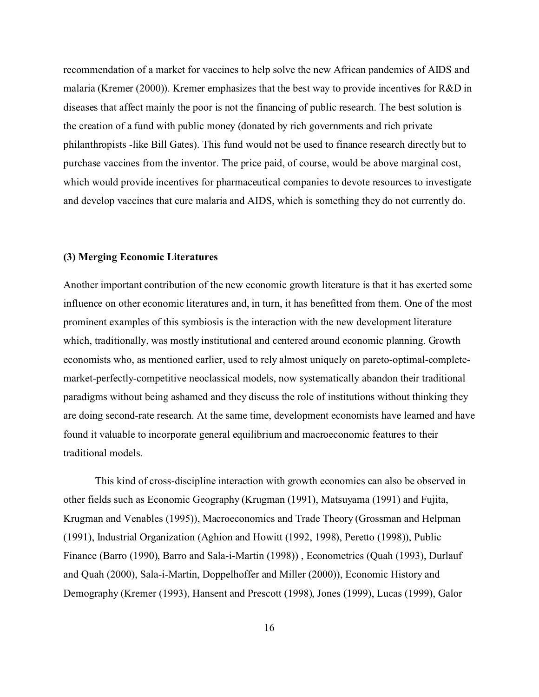recommendation of a market for vaccines to help solve the new African pandemics of AIDS and malaria (Kremer (2000)). Kremer emphasizes that the best way to provide incentives for R&D in diseases that affect mainly the poor is not the financing of public research. The best solution is the creation of a fund with public money (donated by rich governments and rich private philanthropists -like Bill Gates). This fund would not be used to finance research directly but to purchase vaccines from the inventor. The price paid, of course, would be above marginal cost, which would provide incentives for pharmaceutical companies to devote resources to investigate and develop vaccines that cure malaria and AIDS, which is something they do not currently do.

#### **(3) Merging Economic Literatures**

Another important contribution of the new economic growth literature is that it has exerted some influence on other economic literatures and, in turn, it has benefitted from them. One of the most prominent examples of this symbiosis is the interaction with the new development literature which, traditionally, was mostly institutional and centered around economic planning. Growth economists who, as mentioned earlier, used to rely almost uniquely on pareto-optimal-completemarket-perfectly-competitive neoclassical models, now systematically abandon their traditional paradigms without being ashamed and they discuss the role of institutions without thinking they are doing second-rate research. At the same time, development economists have learned and have found it valuable to incorporate general equilibrium and macroeconomic features to their traditional models.

This kind of cross-discipline interaction with growth economics can also be observed in other fields such as Economic Geography (Krugman (1991), Matsuyama (1991) and Fujita, Krugman and Venables (1995)), Macroeconomics and Trade Theory (Grossman and Helpman (1991), Industrial Organization (Aghion and Howitt (1992, 1998), Peretto (1998)), Public Finance (Barro (1990), Barro and Sala-i-Martin (1998)) , Econometrics (Quah (1993), Durlauf and Quah (2000), Sala-i-Martin, Doppelhoffer and Miller (2000)), Economic History and Demography (Kremer (1993), Hansent and Prescott (1998), Jones (1999), Lucas (1999), Galor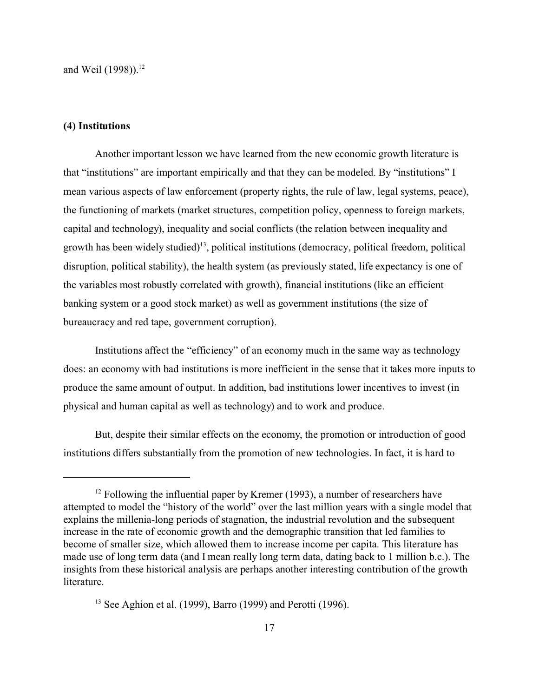and Weil (1998)).<sup>12</sup>

#### **(4) Institutions**

Another important lesson we have learned from the new economic growth literature is that "institutions" are important empirically and that they can be modeled. By "institutions" I mean various aspects of law enforcement (property rights, the rule of law, legal systems, peace), the functioning of markets (market structures, competition policy, openness to foreign markets, capital and technology), inequality and social conflicts (the relation between inequality and growth has been widely studied)<sup>13</sup>, political institutions (democracy, political freedom, political disruption, political stability), the health system (as previously stated, life expectancy is one of the variables most robustly correlated with growth), financial institutions (like an efficient banking system or a good stock market) as well as government institutions (the size of bureaucracy and red tape, government corruption).

Institutions affect the "efficiency" of an economy much in the same way as technology does: an economy with bad institutions is more inefficient in the sense that it takes more inputs to produce the same amount of output. In addition, bad institutions lower incentives to invest (in physical and human capital as well as technology) and to work and produce.

But, despite their similar effects on the economy, the promotion or introduction of good institutions differs substantially from the promotion of new technologies. In fact, it is hard to

 $12$  Following the influential paper by Kremer (1993), a number of researchers have attempted to model the "history of the world" over the last million years with a single model that explains the millenia-long periods of stagnation, the industrial revolution and the subsequent increase in the rate of economic growth and the demographic transition that led families to become of smaller size, which allowed them to increase income per capita. This literature has made use of long term data (and I mean really long term data, dating back to 1 million b.c.). The insights from these historical analysis are perhaps another interesting contribution of the growth literature.

 $13$  See Aghion et al. (1999), Barro (1999) and Perotti (1996).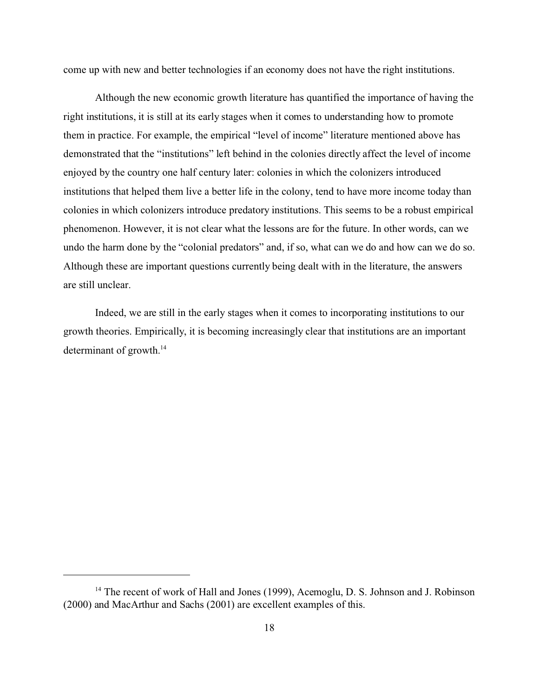come up with new and better technologies if an economy does not have the right institutions.

Although the new economic growth literature has quantified the importance of having the right institutions, it is still at its early stages when it comes to understanding how to promote them in practice. For example, the empirical "level of income" literature mentioned above has demonstrated that the "institutions" left behind in the colonies directly affect the level of income enjoyed by the country one half century later: colonies in which the colonizers introduced institutions that helped them live a better life in the colony, tend to have more income today than colonies in which colonizers introduce predatory institutions. This seems to be a robust empirical phenomenon. However, it is not clear what the lessons are for the future. In other words, can we undo the harm done by the "colonial predators" and, if so, what can we do and how can we do so. Although these are important questions currently being dealt with in the literature, the answers are still unclear.

Indeed, we are still in the early stages when it comes to incorporating institutions to our growth theories. Empirically, it is becoming increasingly clear that institutions are an important determinant of growth.<sup>14</sup>

<sup>&</sup>lt;sup>14</sup> The recent of work of Hall and Jones (1999), Acemoglu, D. S. Johnson and J. Robinson (2000) and MacArthur and Sachs (2001) are excellent examples of this.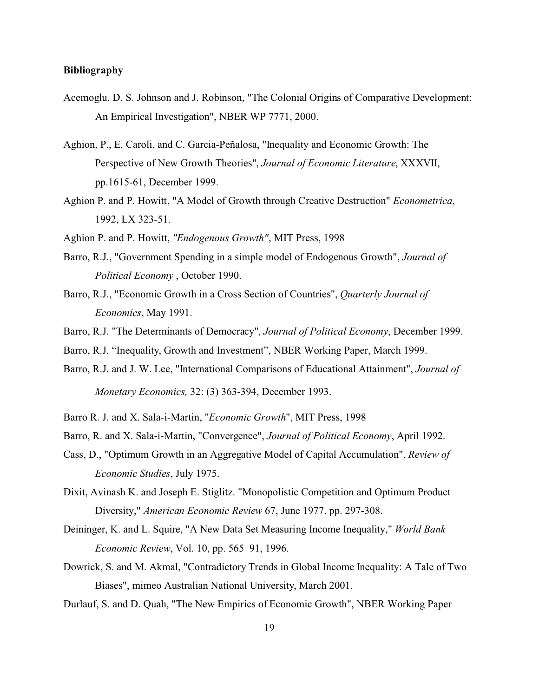### **Bibliography**

- Acemoglu, D. S. Johnson and J. Robinson, "The Colonial Origins of Comparative Development: An Empirical Investigation", NBER WP 7771, 2000.
- Aghion, P., E. Caroli, and C. Garcia-Peñalosa, "Inequality and Economic Growth: The Perspective of New Growth Theories", *Journal of Economic Literature*, XXXVII, pp.1615-61, December 1999.
- Aghion P. and P. Howitt, "A Model of Growth through Creative Destruction" *Econometrica*, 1992, LX 323-51.
- Aghion P. and P. Howitt, *"Endogenous Growth"*, MIT Press, 1998
- Barro, R.J., "Government Spending in a simple model of Endogenous Growth", *Journal of Political Economy* , October 1990.
- Barro, R.J., "Economic Growth in a Cross Section of Countries", *Quarterly Journal of Economics*, May 1991.
- Barro, R.J. "The Determinants of Democracy", *Journal of Political Economy*, December 1999.
- Barro, R.J. "Inequality, Growth and Investment", NBER Working Paper, March 1999.
- Barro, R.J. and J. W. Lee, "International Comparisons of Educational Attainment", *Journal of Monetary Economics,* 32: (3) 363-394, December 1993.
- Barro R. J. and X. Sala-i-Martin, "*Economic Growth*", MIT Press, 1998
- Barro, R. and X. Sala-i-Martin, "Convergence", *Journal of Political Economy*, April 1992.
- Cass, D., "Optimum Growth in an Aggregative Model of Capital Accumulation", *Review of Economic Studies*, July 1975.
- Dixit, Avinash K. and Joseph E. Stiglitz. "Monopolistic Competition and Optimum Product Diversity," *American Economic Review* 67, June 1977. pp. 297-308.
- Deininger, K. and L. Squire, "A New Data Set Measuring Income Inequality," *World Bank Economic Review*, Vol. 10, pp. 565–91, 1996.
- Dowrick, S. and M. Akmal, "Contradictory Trends in Global Income Inequality: A Tale of Two Biases", mimeo Australian National University, March 2001.

Durlauf, S. and D. Quah, "The New Empirics of Economic Growth", NBER Working Paper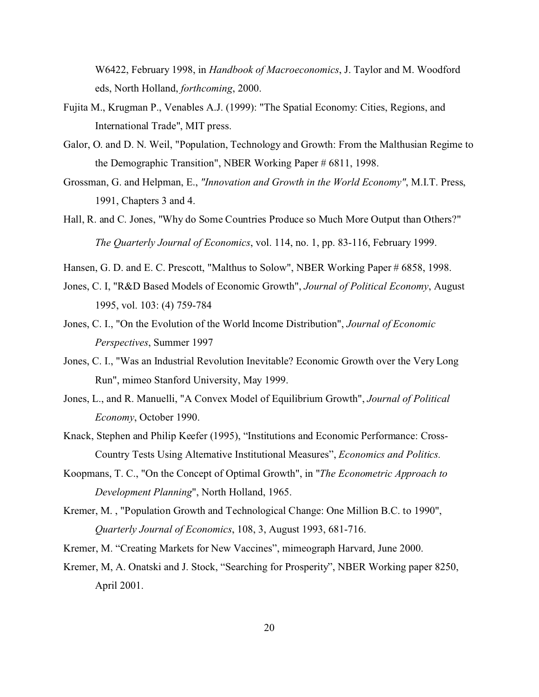W6422, February 1998, in *Handbook of Macroeconomics*, J. Taylor and M. Woodford eds, North Holland, *forthcoming*, 2000.

- Fujita M., Krugman P., Venables A.J. (1999): "The Spatial Economy: Cities, Regions, and International Trade", MIT press.
- Galor, O. and D. N. Weil, "Population, Technology and Growth: From the Malthusian Regime to the Demographic Transition", NBER Working Paper # 6811, 1998.
- Grossman, G. and Helpman, E., *"Innovation and Growth in the World Economy"*, M.I.T. Press, 1991, Chapters 3 and 4.
- Hall, R. and C. Jones, "Why do Some Countries Produce so Much More Output than Others?" *The Quarterly Journal of Economics*, vol. 114, no. 1, pp. 83-116, February 1999.
- Hansen, G. D. and E. C. Prescott, "Malthus to Solow", NBER Working Paper # 6858, 1998.
- Jones, C. I, "R&D Based Models of Economic Growth", *Journal of Political Economy*, August 1995, vol. 103: (4) 759-784
- Jones, C. I., "On the Evolution of the World Income Distribution", *Journal of Economic Perspectives*, Summer 1997
- Jones, C. I., "Was an Industrial Revolution Inevitable? Economic Growth over the Very Long Run", mimeo Stanford University, May 1999.
- Jones, L., and R. Manuelli, "A Convex Model of Equilibrium Growth", *Journal of Political Economy*, October 1990.
- Knack, Stephen and Philip Keefer (1995), "Institutions and Economic Performance: Cross-Country Tests Using Alternative Institutional Measures", *Economics and Politics.*
- Koopmans, T. C., "On the Concept of Optimal Growth", in "*The Econometric Approach to Development Planning*", North Holland, 1965.
- Kremer, M. , "Population Growth and Technological Change: One Million B.C. to 1990", *Quarterly Journal of Economics*, 108, 3, August 1993, 681-716.
- Kremer, M. "Creating Markets for New Vaccines", mimeograph Harvard, June 2000.
- Kremer, M, A. Onatski and J. Stock, "Searching for Prosperity", NBER Working paper 8250, April 2001.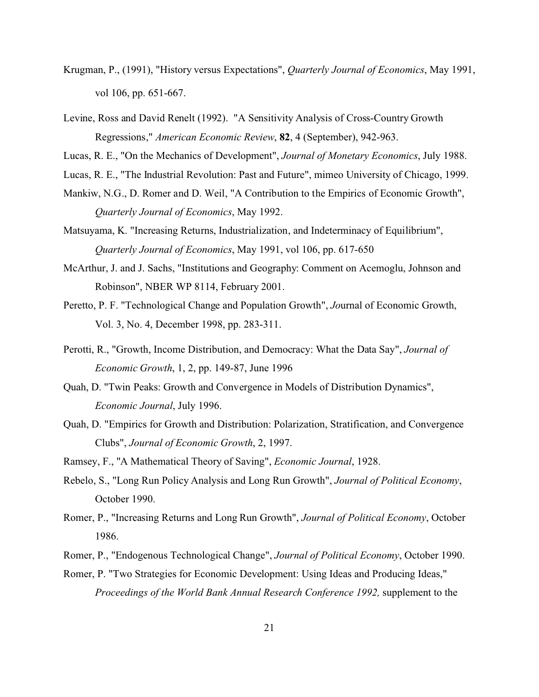- Krugman, P., (1991), "History versus Expectations", *Quarterly Journal of Economics*, May 1991, vol 106, pp. 651-667.
- Levine, Ross and David Renelt (1992). "A Sensitivity Analysis of Cross-Country Growth Regressions," *American Economic Review*, **82**, 4 (September), 942-963.

Lucas, R. E., "On the Mechanics of Development", *Journal of Monetary Economics*, July 1988.

- Lucas, R. E., "The Industrial Revolution: Past and Future", mimeo University of Chicago, 1999.
- Mankiw, N.G., D. Romer and D. Weil, "A Contribution to the Empirics of Economic Growth", *Quarterly Journal of Economics*, May 1992.
- Matsuyama, K. "Increasing Returns, Industrialization, and Indeterminacy of Equilibrium", *Quarterly Journal of Economics*, May 1991, vol 106, pp. 617-650
- McArthur, J. and J. Sachs, "Institutions and Geography: Comment on Acemoglu, Johnson and Robinson", NBER WP 8114, February 2001.
- Peretto, P. F. "Technological Change and Population Growth", *Jo*urnal of Economic Growth, Vol. 3, No. 4, December 1998, pp. 283-311.
- Perotti, R., "Growth, Income Distribution, and Democracy: What the Data Say", *Journal of Economic Growth*, 1, 2, pp. 149-87, June 1996
- Quah, D. "Twin Peaks: Growth and Convergence in Models of Distribution Dynamics", *Economic Journal*, July 1996.
- Quah, D. "Empirics for Growth and Distribution: Polarization, Stratification, and Convergence Clubs", *Journal of Economic Growth*, 2, 1997.
- Ramsey, F., "A Mathematical Theory of Saving", *Economic Journal*, 1928.
- Rebelo, S., "Long Run Policy Analysis and Long Run Growth", *Journal of Political Economy*, October 1990.
- Romer, P., "Increasing Returns and Long Run Growth", *Journal of Political Economy*, October 1986.
- Romer, P., "Endogenous Technological Change", *Journal of Political Economy*, October 1990.
- Romer, P. "Two Strategies for Economic Development: Using Ideas and Producing Ideas," *Proceedings of the World Bank Annual Research Conference 1992,* supplement to the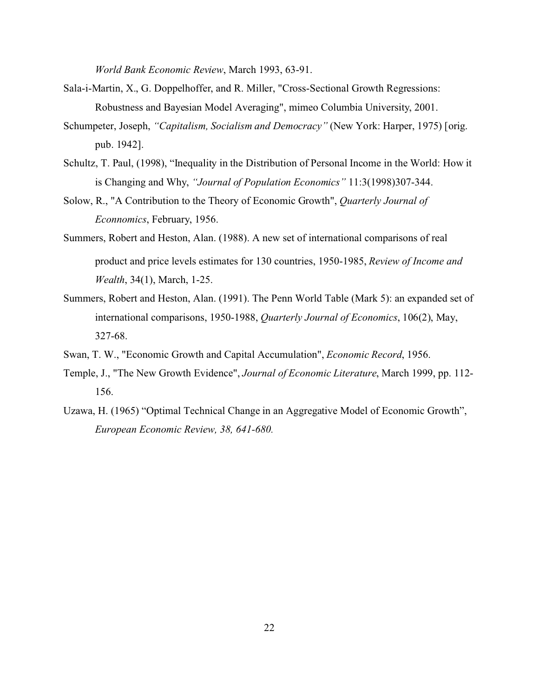*World Bank Economic Review*, March 1993, 63-91.

- Sala-i-Martin, X., G. Doppelhoffer, and R. Miller, "Cross-Sectional Growth Regressions: Robustness and Bayesian Model Averaging", mimeo Columbia University, 2001.
- Schumpeter, Joseph, *"Capitalism, Socialism and Democracy"* (New York: Harper, 1975) [orig. pub. 1942].
- Schultz, T. Paul, (1998), "Inequality in the Distribution of Personal Income in the World: How it is Changing and Why, *"Journal of Population Economics"* 11:3(1998)307-344.
- Solow, R., "A Contribution to the Theory of Economic Growth", *Quarterly Journal of Econnomics*, February, 1956.
- Summers, Robert and Heston, Alan. (1988). A new set of international comparisons of real product and price levels estimates for 130 countries, 1950-1985, *Review of Income and Wealth*, 34(1), March, 1-25.
- Summers, Robert and Heston, Alan. (1991). The Penn World Table (Mark 5): an expanded set of international comparisons, 1950-1988, *Quarterly Journal of Economics*, 106(2), May, 327-68.
- Swan, T. W., "Economic Growth and Capital Accumulation", *Economic Record*, 1956.
- Temple, J., "The New Growth Evidence", *Journal of Economic Literature*, March 1999, pp. 112- 156.
- Uzawa, H. (1965) "Optimal Technical Change in an Aggregative Model of Economic Growth", *European Economic Review, 38, 641-680.*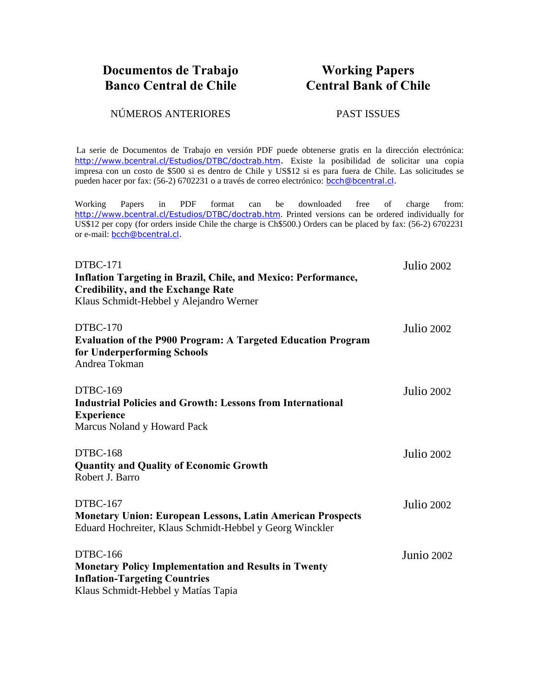### **Documentos de Trabajo Banco Central de Chile**

## **Working Papers Central Bank of Chile**

### NÚMEROS ANTERIORES PAST ISSUES

La serie de Documentos de Trabajo en versión PDF puede obtenerse gratis en la dirección electrónica: http://www.bcentral.cl/Estudios/DTBC/doctrab.htm. Existe la posibilidad de solicitar una copia impresa con un costo de \$500 si es dentro de Chile y US\$12 si es para fuera de Chile. Las solicitudes se pueden hacer por fax: (56-2) 6702231 o a través de correo electrónico: **bcch@bcentral.cl**.

Working Papers in PDF format can be downloaded free of charge from: http://www.bcentral.cl/Estudios/DTBC/doctrab.htm. Printed versions can be ordered individually for US\$12 per copy (for orders inside Chile the charge is Ch\$500.) Orders can be placed by fax: (56-2) 6702231 or e-mail: bcch@bcentral.cl.

| DTBC-171                                                       | <b>Julio 2002</b> |
|----------------------------------------------------------------|-------------------|
| Inflation Targeting in Brazil, Chile, and Mexico: Performance, |                   |
| Credibility, and the Exchange Rate                             |                   |
| Klaus Schmidt-Hebbel y Alejandro Werner                        |                   |
|                                                                |                   |
| $DTRC_170$                                                     | $\text{Lilio }$   |

| $LIDU$ -170<br><b>Evaluation of the P900 Program: A Targeted Education Program</b><br>for Underperforming Schools<br>Andrea Tokman                     | JUNO 2002  |
|--------------------------------------------------------------------------------------------------------------------------------------------------------|------------|
| DTBC-169<br><b>Industrial Policies and Growth: Lessons from International</b><br><b>Experience</b>                                                     | Julio 2002 |
| Marcus Noland y Howard Pack                                                                                                                            |            |
| DTBC-168<br><b>Quantity and Quality of Economic Growth</b><br>Robert J. Barro                                                                          | Julio 2002 |
| DTBC-167<br><b>Monetary Union: European Lessons, Latin American Prospects</b><br>Eduard Hochreiter, Klaus Schmidt-Hebbel y Georg Winckler              | Julio 2002 |
| DTBC-166<br><b>Monetary Policy Implementation and Results in Twenty</b><br><b>Inflation-Targeting Countries</b><br>Klaus Schmidt-Hebbel y Matías Tapia | Junio 2002 |